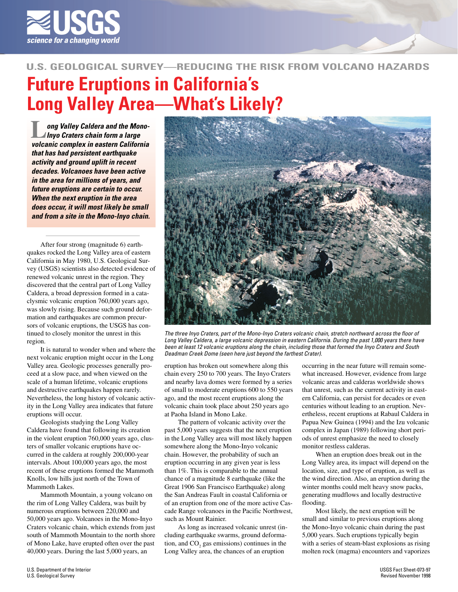

## **U.S. GEOLOGICAL SURVEY—REDUCING THE RISK FROM VOLCANO HAZARDS**

## **Future Eruptions in California' s Long Valley Area—What's Likely?**

**Lackson California** Caldera and the Mono-<br>Complex chain form a large<br>Volcanic complex in eastern California **ong Valley Caldera and the Mono-Inyo Craters chain form a large that has had persistent earthquake activity and ground uplift in recent decades. Volcanoes have been active in the area for millions of years, and future eruptions are certain to occur. When the next eruption in the area does occur, it will most likely be small and from a site in the Mono-Inyo chain.**

After four strong (magnitude 6) earthquakes rocked the Long Valley area of eastern California in May 1980, U.S. Geological Survey (USGS) scientists also detected evidence of renewed volcanic unrest in the region. They discovered that the central part of Long Valley Caldera, a broad depression formed in a cataclysmic volcanic eruption 760,000 years ago, was slowly rising. Because such ground deformation and earthquakes are common precursors of volcanic eruptions, the USGS has continued to closely monitor the unrest in this region.

It is natural to wonder when and where the next volcanic eruption might occur in the Long Valley area. Geologic processes generally proceed at a slow pace, and when viewed on the scale of a human lifetime, volcanic eruptions and destructive earthquakes happen rarely. Nevertheless, the long history of volcanic activity in the Long Valley area indicates that future eruptions will occur.

Geologists studying the Long Valley Caldera have found that following its creation in the violent eruption 760,000 years ago, clusters of smaller volcanic eruptions have occurred in the caldera at roughly 200,000-year intervals. About 100,000 years ago, the most recent of these eruptions formed the Mammoth Knolls, low hills just north of the Town of Mammoth Lakes.

Mammoth Mountain, a young volcano on the rim of Long Valley Caldera, was built by numerous eruptions between 220,000 and 50,000 years ago. Volcanoes in the Mono-Inyo Craters volcanic chain, which extends from just south of Mammoth Mountain to the north shore of Mono Lake, have erupted often over the past 40,000 years. During the last 5,000 years, an



The three Inyo Craters, part of the Mono-Inyo Craters volcanic chain, stretch northward across the floor of Long Valley Caldera, a large volcanic depression in eastern California. During the past 1,000 years there have been at least 12 volcanic eruptions along the chain, including those that formed the Inyo Craters and South Deadman Creek Dome (seen here just beyond the farthest Crater).

eruption has broken out somewhere along this chain every 250 to 700 years. The Inyo Craters and nearby lava domes were formed by a series of small to moderate eruptions 600 to 550 years ago, and the most recent eruptions along the volcanic chain took place about 250 years ago at Paoha Island in Mono Lake.

The pattern of volcanic activity over the past 5,000 years suggests that the next eruption in the Long Valley area will most likely happen somewhere along the Mono-Inyo volcanic chain. However, the probability of such an eruption occurring in any given year is less than 1%. This is comparable to the annual chance of a magnitude 8 earthquake (like the Great 1906 San Francisco Earthquake) along the San Andreas Fault in coastal California or of an eruption from one of the more active Cascade Range volcanoes in the Pacific Northwest, such as Mount Rainier.

As long as increased volcanic unrest (including earthquake swarms, ground deformation, and  $CO<sub>2</sub>$  gas emissions) continues in the Long Valley area, the chances of an eruption

occurring in the near future will remain somewhat increased. However, evidence from large volcanic areas and calderas worldwide shows that unrest, such as the current activity in eastern California, can persist for decades or even centuries without leading to an eruption. Nevertheless, recent eruptions at Rabaul Caldera in Papua New Guinea (1994) and the Izu volcanic complex in Japan (1989) following short periods of unrest emphasize the need to closely monitor restless calderas.

When an eruption does break out in the Long Valley area, its impact will depend on the location, size, and type of eruption, as well as the wind direction. Also, an eruption during the winter months could melt heavy snow packs, generating mudflows and locally destructive flooding.

Most likely, the next eruption will be small and similar to previous eruptions along the Mono-Inyo volcanic chain during the past 5,000 years. Such eruptions typically begin with a series of steam-blast explosions as rising molten rock (magma) encounters and vaporizes